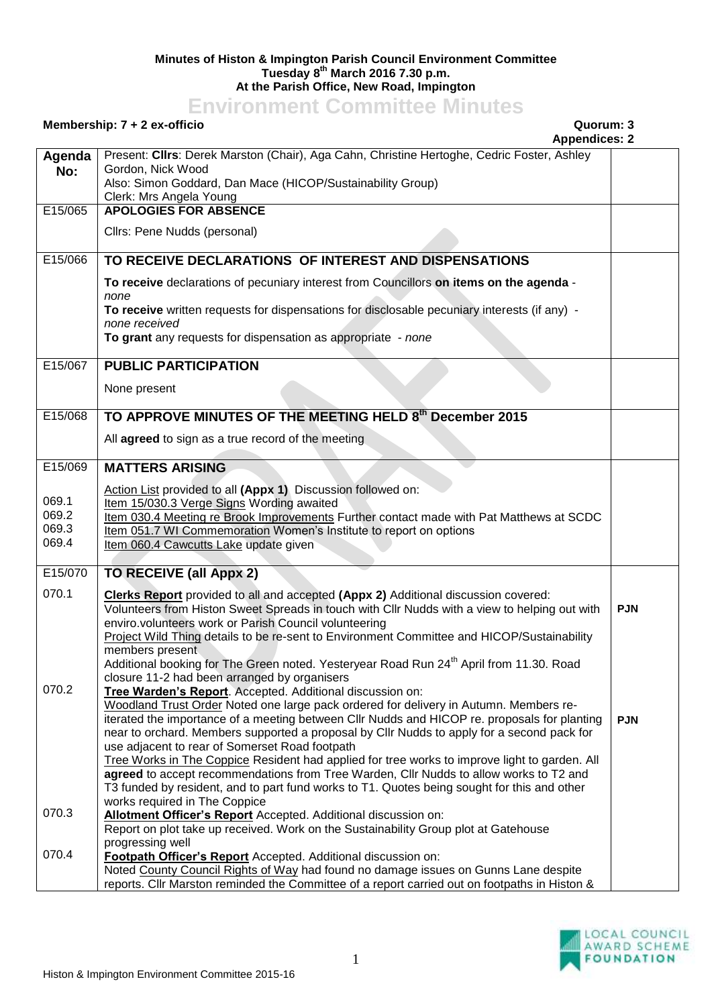## **Minutes of Histon & Impington Parish Council Environment Committee Tuesday 8 th March 2016 7.30 p.m. At the Parish Office, New Road, Impington**

## **Environment Committee Minutes**

## **Membership: 7 + 2 ex-officio Quorum: 3**

**Appendices: 2**

|         | Appendices: 2                                                                                               |            |
|---------|-------------------------------------------------------------------------------------------------------------|------------|
| Agenda  | Present: Clirs: Derek Marston (Chair), Aga Cahn, Christine Hertoghe, Cedric Foster, Ashley                  |            |
| No:     | Gordon, Nick Wood                                                                                           |            |
|         | Also: Simon Goddard, Dan Mace (HICOP/Sustainability Group)                                                  |            |
|         | Clerk: Mrs Angela Young                                                                                     |            |
| E15/065 | <b>APOLOGIES FOR ABSENCE</b>                                                                                |            |
|         | Cllrs: Pene Nudds (personal)                                                                                |            |
|         |                                                                                                             |            |
| E15/066 | TO RECEIVE DECLARATIONS OF INTEREST AND DISPENSATIONS                                                       |            |
|         |                                                                                                             |            |
|         | To receive declarations of pecuniary interest from Councillors on items on the agenda -                     |            |
|         | none                                                                                                        |            |
|         | To receive written requests for dispensations for disclosable pecuniary interests (if any) -                |            |
|         | none received<br>To grant any requests for dispensation as appropriate - none                               |            |
|         |                                                                                                             |            |
| E15/067 | <b>PUBLIC PARTICIPATION</b>                                                                                 |            |
|         |                                                                                                             |            |
|         | None present                                                                                                |            |
|         |                                                                                                             |            |
| E15/068 | TO APPROVE MINUTES OF THE MEETING HELD 8th December 2015                                                    |            |
|         | All agreed to sign as a true record of the meeting                                                          |            |
|         |                                                                                                             |            |
| E15/069 | <b>MATTERS ARISING</b>                                                                                      |            |
|         |                                                                                                             |            |
| 069.1   | Action List provided to all (Appx 1) Discussion followed on:                                                |            |
| 069.2   | Item 15/030.3 Verge Signs Wording awaited                                                                   |            |
| 069.3   | Item 030.4 Meeting re Brook Improvements Further contact made with Pat Matthews at SCDC                     |            |
| 069.4   | Item 051.7 WI Commemoration Women's Institute to report on options<br>Item 060.4 Cawcutts Lake update given |            |
|         |                                                                                                             |            |
| E15/070 | <b>TO RECEIVE (all Appx 2)</b>                                                                              |            |
|         |                                                                                                             |            |
| 070.1   | <b>Clerks Report</b> provided to all and accepted (Appx 2) Additional discussion covered:                   |            |
|         | Volunteers from Histon Sweet Spreads in touch with Cllr Nudds with a view to helping out with               | <b>PJN</b> |
|         | enviro.volunteers work or Parish Council volunteering                                                       |            |
|         | Project Wild Thing details to be re-sent to Environment Committee and HICOP/Sustainability                  |            |
|         | members present                                                                                             |            |
|         | Additional booking for The Green noted. Yesteryear Road Run 24 <sup>th</sup> April from 11.30. Road         |            |
| 070.2   | closure 11-2 had been arranged by organisers<br>Tree Warden's Report. Accepted. Additional discussion on:   |            |
|         | Woodland Trust Order Noted one large pack ordered for delivery in Autumn. Members re-                       |            |
|         | iterated the importance of a meeting between Cllr Nudds and HICOP re. proposals for planting                | <b>PJN</b> |
|         | near to orchard. Members supported a proposal by Cllr Nudds to apply for a second pack for                  |            |
|         | use adjacent to rear of Somerset Road footpath                                                              |            |
|         | Tree Works in The Coppice Resident had applied for tree works to improve light to garden. All               |            |
|         | agreed to accept recommendations from Tree Warden, Cllr Nudds to allow works to T2 and                      |            |
|         | T3 funded by resident, and to part fund works to T1. Quotes being sought for this and other                 |            |
|         | works required in The Coppice                                                                               |            |
| 070.3   | Allotment Officer's Report Accepted. Additional discussion on:                                              |            |
|         | Report on plot take up received. Work on the Sustainability Group plot at Gatehouse                         |            |
|         | progressing well                                                                                            |            |
| 070.4   | Footpath Officer's Report Accepted. Additional discussion on:                                               |            |
|         | Noted County Council Rights of Way had found no damage issues on Gunns Lane despite                         |            |
|         | reports. Cllr Marston reminded the Committee of a report carried out on footpaths in Histon &               |            |

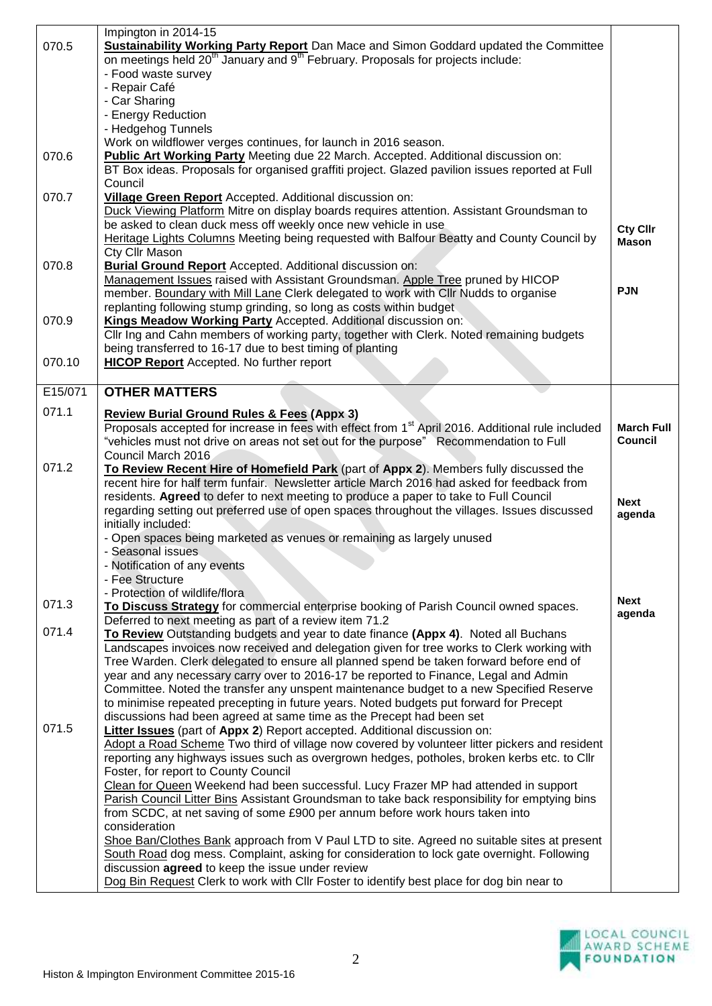|         | Impington in 2014-15                                                                                                                                                                  |                   |
|---------|---------------------------------------------------------------------------------------------------------------------------------------------------------------------------------------|-------------------|
| 070.5   | <b>Sustainability Working Party Report</b> Dan Mace and Simon Goddard updated the Committee                                                                                           |                   |
|         | on meetings held 20 <sup>th</sup> January and 9 <sup>th</sup> February. Proposals for projects include:                                                                               |                   |
|         | - Food waste survey                                                                                                                                                                   |                   |
|         | - Repair Café                                                                                                                                                                         |                   |
|         | - Car Sharing                                                                                                                                                                         |                   |
|         | - Energy Reduction                                                                                                                                                                    |                   |
|         | - Hedgehog Tunnels                                                                                                                                                                    |                   |
|         | Work on wildflower verges continues, for launch in 2016 season.                                                                                                                       |                   |
| 070.6   | Public Art Working Party Meeting due 22 March. Accepted. Additional discussion on:                                                                                                    |                   |
|         | BT Box ideas. Proposals for organised graffiti project. Glazed pavilion issues reported at Full                                                                                       |                   |
|         | Council                                                                                                                                                                               |                   |
| 070.7   | Village Green Report Accepted. Additional discussion on:                                                                                                                              |                   |
|         | Duck Viewing Platform Mitre on display boards requires attention. Assistant Groundsman to                                                                                             |                   |
|         | be asked to clean duck mess off weekly once new vehicle in use                                                                                                                        | <b>Cty Cllr</b>   |
|         | Heritage Lights Columns Meeting being requested with Balfour Beatty and County Council by                                                                                             | <b>Mason</b>      |
|         | Cty Cllr Mason                                                                                                                                                                        |                   |
| 070.8   | <b>Burial Ground Report</b> Accepted. Additional discussion on:                                                                                                                       |                   |
|         | Management Issues raised with Assistant Groundsman. Apple Tree pruned by HICOP                                                                                                        | <b>PJN</b>        |
|         | member. Boundary with Mill Lane Clerk delegated to work with Cllr Nudds to organise                                                                                                   |                   |
|         | replanting following stump grinding, so long as costs within budget                                                                                                                   |                   |
| 070.9   | Kings Meadow Working Party Accepted. Additional discussion on:                                                                                                                        |                   |
|         | Cllr Ing and Cahn members of working party, together with Clerk. Noted remaining budgets                                                                                              |                   |
|         | being transferred to 16-17 due to best timing of planting                                                                                                                             |                   |
| 070.10  | <b>HICOP Report</b> Accepted. No further report                                                                                                                                       |                   |
|         |                                                                                                                                                                                       |                   |
| E15/071 | <b>OTHER MATTERS</b>                                                                                                                                                                  |                   |
| 071.1   | <b>Review Burial Ground Rules &amp; Fees (Appx 3)</b>                                                                                                                                 |                   |
|         | Proposals accepted for increase in fees with effect from 1 <sup>st</sup> April 2016. Additional rule included                                                                         | <b>March Full</b> |
|         | "vehicles must not drive on areas not set out for the purpose" Recommendation to Full                                                                                                 | <b>Council</b>    |
|         | Council March 2016                                                                                                                                                                    |                   |
| 071.2   | To Review Recent Hire of Homefield Park (part of Appx 2). Members fully discussed the                                                                                                 |                   |
|         | recent hire for half term funfair. Newsletter article March 2016 had asked for feedback from                                                                                          |                   |
|         | residents. Agreed to defer to next meeting to produce a paper to take to Full Council                                                                                                 | <b>Next</b>       |
|         | regarding setting out preferred use of open spaces throughout the villages. Issues discussed                                                                                          | agenda            |
|         | initially included:                                                                                                                                                                   |                   |
|         | - Open spaces being marketed as venues or remaining as largely unused                                                                                                                 |                   |
|         | - Seasonal issues                                                                                                                                                                     |                   |
|         | - Notification of any events                                                                                                                                                          |                   |
|         | - Fee Structure                                                                                                                                                                       |                   |
| 071.3   | - Protection of wildlife/flora                                                                                                                                                        | <b>Next</b>       |
|         | To Discuss Strategy for commercial enterprise booking of Parish Council owned spaces.                                                                                                 | agenda            |
| 071.4   | Deferred to next meeting as part of a review item 71.2                                                                                                                                |                   |
|         | To Review Outstanding budgets and year to date finance (Appx 4). Noted all Buchans                                                                                                    |                   |
|         | Landscapes invoices now received and delegation given for tree works to Clerk working with<br>Tree Warden. Clerk delegated to ensure all planned spend be taken forward before end of |                   |
|         | year and any necessary carry over to 2016-17 be reported to Finance, Legal and Admin                                                                                                  |                   |
|         | Committee. Noted the transfer any unspent maintenance budget to a new Specified Reserve                                                                                               |                   |
|         | to minimise repeated precepting in future years. Noted budgets put forward for Precept                                                                                                |                   |
|         | discussions had been agreed at same time as the Precept had been set                                                                                                                  |                   |
| 071.5   | <b>Litter Issues</b> (part of Appx 2) Report accepted. Additional discussion on:                                                                                                      |                   |
|         |                                                                                                                                                                                       |                   |
|         |                                                                                                                                                                                       |                   |
|         | Adopt a Road Scheme Two third of village now covered by volunteer litter pickers and resident                                                                                         |                   |
|         | reporting any highways issues such as overgrown hedges, potholes, broken kerbs etc. to Cllr<br>Foster, for report to County Council                                                   |                   |
|         | Clean for Queen Weekend had been successful. Lucy Frazer MP had attended in support                                                                                                   |                   |
|         | Parish Council Litter Bins Assistant Groundsman to take back responsibility for emptying bins                                                                                         |                   |
|         | from SCDC, at net saving of some £900 per annum before work hours taken into                                                                                                          |                   |
|         | consideration                                                                                                                                                                         |                   |
|         | Shoe Ban/Clothes Bank approach from V Paul LTD to site. Agreed no suitable sites at present                                                                                           |                   |
|         | South Road dog mess. Complaint, asking for consideration to lock gate overnight. Following                                                                                            |                   |
|         | discussion agreed to keep the issue under review                                                                                                                                      |                   |
|         | Dog Bin Request Clerk to work with Cllr Foster to identify best place for dog bin near to                                                                                             |                   |